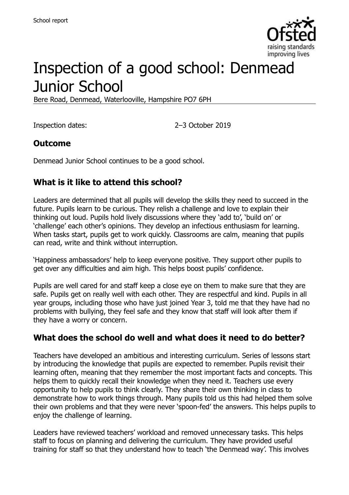

# Inspection of a good school: Denmead Junior School

Bere Road, Denmead, Waterlooville, Hampshire PO7 6PH

Inspection dates: 2–3 October 2019

#### **Outcome**

Denmead Junior School continues to be a good school.

#### **What is it like to attend this school?**

Leaders are determined that all pupils will develop the skills they need to succeed in the future. Pupils learn to be curious. They relish a challenge and love to explain their thinking out loud. Pupils hold lively discussions where they 'add to', 'build on' or 'challenge' each other's opinions. They develop an infectious enthusiasm for learning. When tasks start, pupils get to work quickly. Classrooms are calm, meaning that pupils can read, write and think without interruption.

'Happiness ambassadors' help to keep everyone positive. They support other pupils to get over any difficulties and aim high. This helps boost pupils' confidence.

Pupils are well cared for and staff keep a close eye on them to make sure that they are safe. Pupils get on really well with each other. They are respectful and kind. Pupils in all year groups, including those who have just joined Year 3, told me that they have had no problems with bullying, they feel safe and they know that staff will look after them if they have a worry or concern.

#### **What does the school do well and what does it need to do better?**

Teachers have developed an ambitious and interesting curriculum. Series of lessons start by introducing the knowledge that pupils are expected to remember. Pupils revisit their learning often, meaning that they remember the most important facts and concepts. This helps them to quickly recall their knowledge when they need it. Teachers use every opportunity to help pupils to think clearly. They share their own thinking in class to demonstrate how to work things through. Many pupils told us this had helped them solve their own problems and that they were never 'spoon-fed' the answers. This helps pupils to enjoy the challenge of learning.

Leaders have reviewed teachers' workload and removed unnecessary tasks. This helps staff to focus on planning and delivering the curriculum. They have provided useful training for staff so that they understand how to teach 'the Denmead way'. This involves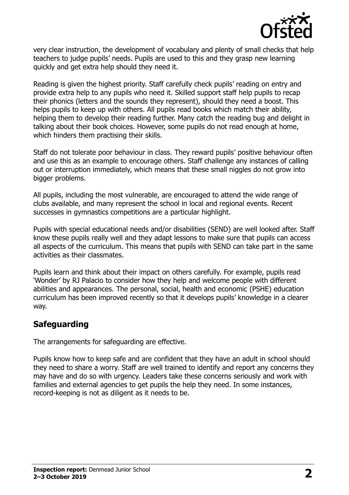

very clear instruction, the development of vocabulary and plenty of small checks that help teachers to judge pupils' needs. Pupils are used to this and they grasp new learning quickly and get extra help should they need it.

Reading is given the highest priority. Staff carefully check pupils' reading on entry and provide extra help to any pupils who need it. Skilled support staff help pupils to recap their phonics (letters and the sounds they represent), should they need a boost. This helps pupils to keep up with others. All pupils read books which match their ability, helping them to develop their reading further. Many catch the reading bug and delight in talking about their book choices. However, some pupils do not read enough at home, which hinders them practising their skills.

Staff do not tolerate poor behaviour in class. They reward pupils' positive behaviour often and use this as an example to encourage others. Staff challenge any instances of calling out or interruption immediately, which means that these small niggles do not grow into bigger problems.

All pupils, including the most vulnerable, are encouraged to attend the wide range of clubs available, and many represent the school in local and regional events. Recent successes in gymnastics competitions are a particular highlight.

Pupils with special educational needs and/or disabilities (SEND) are well looked after. Staff know these pupils really well and they adapt lessons to make sure that pupils can access all aspects of the curriculum. This means that pupils with SEND can take part in the same activities as their classmates.

Pupils learn and think about their impact on others carefully. For example, pupils read 'Wonder' by RJ Palacio to consider how they help and welcome people with different abilities and appearances. The personal, social, health and economic (PSHE) education curriculum has been improved recently so that it develops pupils' knowledge in a clearer way.

#### **Safeguarding**

The arrangements for safeguarding are effective.

Pupils know how to keep safe and are confident that they have an adult in school should they need to share a worry. Staff are well trained to identify and report any concerns they may have and do so with urgency. Leaders take these concerns seriously and work with families and external agencies to get pupils the help they need. In some instances, record-keeping is not as diligent as it needs to be.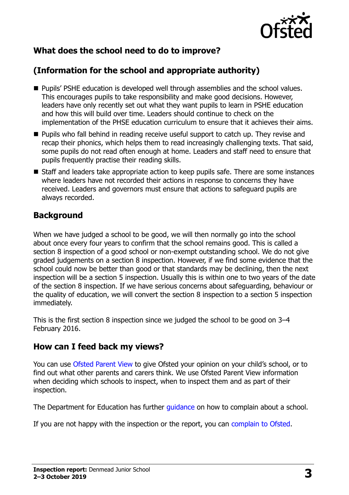

# **What does the school need to do to improve?**

# **(Information for the school and appropriate authority)**

- **Pupils' PSHE education is developed well through assemblies and the school values.** This encourages pupils to take responsibility and make good decisions. However, leaders have only recently set out what they want pupils to learn in PSHE education and how this will build over time. Leaders should continue to check on the implementation of the PHSE education curriculum to ensure that it achieves their aims.
- **Pupils who fall behind in reading receive useful support to catch up. They revise and** recap their phonics, which helps them to read increasingly challenging texts. That said, some pupils do not read often enough at home. Leaders and staff need to ensure that pupils frequently practise their reading skills.
- Staff and leaders take appropriate action to keep pupils safe. There are some instances where leaders have not recorded their actions in response to concerns they have received. Leaders and governors must ensure that actions to safeguard pupils are always recorded.

#### **Background**

When we have judged a school to be good, we will then normally go into the school about once every four years to confirm that the school remains good. This is called a section 8 inspection of a good school or non-exempt outstanding school. We do not give graded judgements on a section 8 inspection. However, if we find some evidence that the school could now be better than good or that standards may be declining, then the next inspection will be a section 5 inspection. Usually this is within one to two years of the date of the section 8 inspection. If we have serious concerns about safeguarding, behaviour or the quality of education, we will convert the section 8 inspection to a section 5 inspection immediately.

This is the first section 8 inspection since we judged the school to be good on 3–4 February 2016.

#### **How can I feed back my views?**

You can use [Ofsted Parent View](https://parentview.ofsted.gov.uk/) to give Ofsted your opinion on your child's school, or to find out what other parents and carers think. We use Ofsted Parent View information when deciding which schools to inspect, when to inspect them and as part of their inspection.

The Department for Education has further quidance on how to complain about a school.

If you are not happy with the inspection or the report, you can [complain to Ofsted.](https://www.gov.uk/complain-ofsted-report)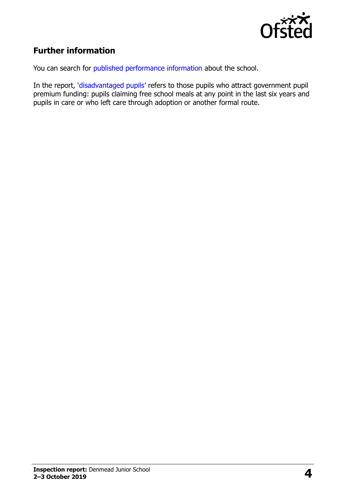

# **Further information**

You can search for [published performance information](http://www.compare-school-performance.service.gov.uk/) about the school.

In the report, '[disadvantaged pupils](http://www.gov.uk/guidance/pupil-premium-information-for-schools-and-alternative-provision-settings)' refers to those pupils who attract government pupil premium funding: pupils claiming free school meals at any point in the last six years and pupils in care or who left care through adoption or another formal route.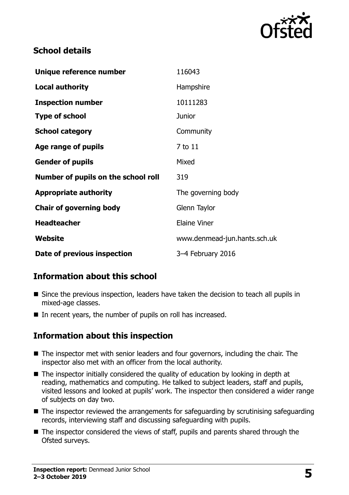

#### **School details**

| Unique reference number             | 116043                       |
|-------------------------------------|------------------------------|
| Local authority                     | Hampshire                    |
| <b>Inspection number</b>            | 10111283                     |
| <b>Type of school</b>               | <b>Junior</b>                |
| <b>School category</b>              | Community                    |
| Age range of pupils                 | 7 to 11                      |
| <b>Gender of pupils</b>             | Mixed                        |
| Number of pupils on the school roll | 319                          |
| <b>Appropriate authority</b>        | The governing body           |
| <b>Chair of governing body</b>      | Glenn Taylor                 |
| <b>Headteacher</b>                  | <b>Elaine Viner</b>          |
| Website                             | www.denmead-jun.hants.sch.uk |
| Date of previous inspection         | 3-4 February 2016            |

# **Information about this school**

- Since the previous inspection, leaders have taken the decision to teach all pupils in mixed-age classes.
- In recent years, the number of pupils on roll has increased.

# **Information about this inspection**

- The inspector met with senior leaders and four governors, including the chair. The inspector also met with an officer from the local authority.
- The inspector initially considered the quality of education by looking in depth at reading, mathematics and computing. He talked to subject leaders, staff and pupils, visited lessons and looked at pupils' work. The inspector then considered a wider range of subjects on day two.
- $\blacksquare$  The inspector reviewed the arrangements for safeguarding by scrutinising safeguarding records, interviewing staff and discussing safeguarding with pupils.
- The inspector considered the views of staff, pupils and parents shared through the Ofsted surveys.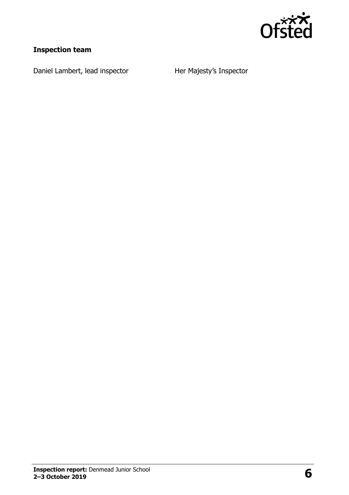

# **Inspection team**

Daniel Lambert, lead inspector Her Majesty's Inspector